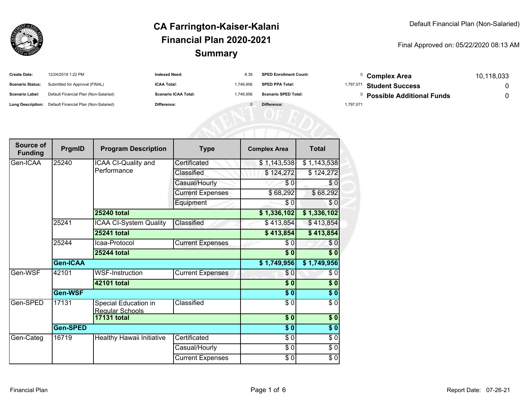

#### Final Approved on: 05/22/2020 08:13 AM

| <b>Create Date:</b>     | 12/24/2019 1:22 PM                                      | <b>Indexed Need:</b>        | 8.39      | <b>SPED Enrollment Count:</b> | Complex Area                         | 10,118,033 |
|-------------------------|---------------------------------------------------------|-----------------------------|-----------|-------------------------------|--------------------------------------|------------|
| <b>Scenario Status:</b> | Submitted for Approval (FINAL)                          | <b>ICAA Total:</b>          | 1.749.956 | <b>SPED PPA Total:</b>        | <sup>1,797,071</sup> Student Success |            |
| <b>Scenario Label:</b>  | Default Financial Plan (Non-Salaried)                   | <b>Scenario ICAA Total:</b> | 1,749.956 | <b>Scenario SPED Total:</b>   | <b>Possible Additional Funds</b>     |            |
|                         | Long Description: Default Financial Plan (Non-Salaried) | Difference:                 |           | Difference:                   | 1,797,071                            |            |

| Source of<br><b>Funding</b> | PrgmID          | <b>Program Description</b>              | <b>Type</b>             | <b>Complex Area</b> | <b>Total</b> |
|-----------------------------|-----------------|-----------------------------------------|-------------------------|---------------------|--------------|
| Gen-ICAA                    | 25240           | ICAA CI-Quality and                     | Certificated            | \$1,143,538         | \$1,143,538  |
|                             |                 | Performance                             | Classified              | \$124,272           | \$124,272    |
|                             |                 |                                         | Casual/Hourly           | \$0                 | \$0          |
|                             |                 |                                         | <b>Current Expenses</b> | \$68,292            | \$68,292     |
|                             |                 |                                         | Equipment               | \$0                 | \$0          |
|                             |                 | <b>25240 total</b>                      |                         | \$1,336,102         | \$1,336,102  |
|                             | 25241           | <b>ICAA CI-System Quality</b>           | Classified              | \$413,854           | \$413,854    |
|                             |                 | <b>25241 total</b>                      |                         | \$413,854           | \$413,854    |
|                             | 25244           | Icaa-Protocol                           | <b>Current Expenses</b> | \$0                 | \$0          |
|                             |                 | <b>25244 total</b>                      |                         | $\overline{\$0}$    | \$0          |
|                             | <b>Gen-ICAA</b> |                                         |                         | \$1,749,956         | \$1,749,956  |
| Gen-WSF                     | 42101           | <b>WSF-Instruction</b>                  | <b>Current Expenses</b> | \$0                 | \$0          |
|                             |                 | 42101 total                             |                         | $\overline{\$0}$    | \$0          |
|                             | Gen-WSF         |                                         |                         | $\overline{\$0}$    | $\sqrt{6}$   |
| Gen-SPED                    | 17131           | Special Education in<br>Regular Schools | Classified              | \$0                 | \$0          |
|                             |                 | <b>17131 total</b>                      |                         | $\overline{\$0}$    | $\sqrt{6}$   |
|                             | <b>Gen-SPED</b> |                                         |                         | $\overline{\$0}$    | $\sqrt{6}$   |
| Gen-Categ                   | 16719           | Healthy Hawaii Initiative               | Certificated            | $\overline{\$0}$    | \$0          |
|                             |                 |                                         | Casual/Hourly           | $\overline{\$0}$    | $\sqrt{6}$   |
|                             |                 |                                         | <b>Current Expenses</b> | $\sqrt{6}$          | \$0          |

| 9.956    | <b>Scenario SPED Total:</b> | <sup>0</sup> Possible Additional Funds |  |
|----------|-----------------------------|----------------------------------------|--|
| $\Omega$ | Difference:                 | 1,797,071                              |  |
|          |                             |                                        |  |
|          |                             |                                        |  |
|          |                             |                                        |  |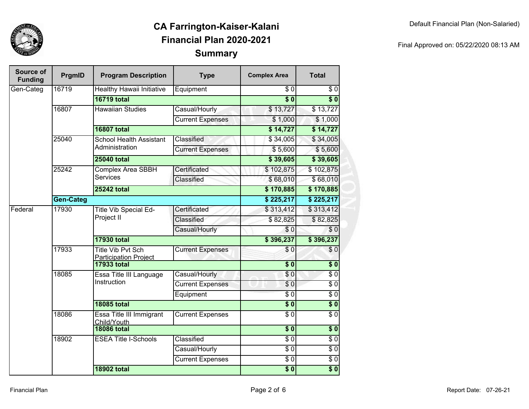

| Source of<br><b>Funding</b> | PrgmID           | <b>Program Description</b>                               | <b>Type</b>             | <b>Complex Area</b>    | <b>Total</b>           |
|-----------------------------|------------------|----------------------------------------------------------|-------------------------|------------------------|------------------------|
| Gen-Categ                   | 16719            | Healthy Hawaii Initiative                                | Equipment               | $\overline{\$0}$       | \$0                    |
|                             |                  | <b>16719 total</b>                                       |                         | $\overline{\bullet}$ 0 | $\overline{\bullet}$ 0 |
|                             | 16807            | <b>Hawaiian Studies</b>                                  | Casual/Hourly           | \$13,727               | \$13,727               |
|                             |                  |                                                          | <b>Current Expenses</b> | \$1,000                | \$1,000                |
|                             |                  | <b>16807 total</b>                                       |                         | \$14,727               | \$14,727               |
|                             | 25040            | <b>School Health Assistant</b>                           | Classified              | \$34,005               | \$34,005               |
|                             |                  | Administration                                           | <b>Current Expenses</b> | \$5,600                | \$5,600                |
|                             |                  | <b>25040 total</b>                                       |                         | \$39,605               | \$39,605               |
|                             | 25242            | <b>Complex Area SBBH</b>                                 | Certificated            | \$102,875              | \$102,875              |
|                             |                  | <b>Services</b>                                          | Classified              | \$68,010               | \$68,010               |
|                             |                  | <b>25242 total</b>                                       |                         | \$170,885              | \$170,885              |
|                             | <b>Gen-Categ</b> |                                                          |                         | \$225,217              | \$225,217              |
| Federal                     | 17930            | <b>Title Vib Special Ed-</b><br>Project II               | Certificated            | \$313,412              | \$313,412              |
|                             |                  |                                                          | Classified              | \$82,825               | \$82,825               |
|                             |                  |                                                          | Casual/Hourly           | \$0                    | \$0                    |
|                             |                  | <b>17930 total</b>                                       |                         | \$396,237              | \$396,237              |
|                             | 17933            | <b>Title Vib Pvt Sch</b><br><b>Participation Project</b> | <b>Current Expenses</b> | \$0                    | \$0                    |
|                             |                  | <b>17933 total</b>                                       |                         | $\sqrt{6}$             | $\sqrt{6}$             |
|                             | 18085            | Essa Title III Language<br>Instruction                   | Casual/Hourly           | \$0                    | $\overline{$}0$        |
|                             |                  |                                                          | <b>Current Expenses</b> | \$0                    | $\overline{\$0}$       |
|                             |                  |                                                          | Equipment               | $\overline{\$0}$       | $\overline{\$0}$       |
|                             |                  | <b>18085 total</b>                                       |                         | $\overline{\$}0$       | $\overline{\$0}$       |
|                             | 18086            | Essa Title III Immigrant<br>Child/Youth                  | <b>Current Expenses</b> | $\overline{\$0}$       | $\overline{\$0}$       |
|                             |                  | <b>18086 total</b>                                       |                         | $\overline{\$0}$       | $\overline{\$0}$       |
|                             | 18902            | <b>ESEA Title I-Schools</b>                              | Classified              | $\overline{\$0}$       | $\overline{\$0}$       |
|                             |                  |                                                          | Casual/Hourly           | $\sqrt{6}$             | $\sqrt{6}$             |
|                             |                  |                                                          | <b>Current Expenses</b> | \$0                    | $\overline{$}0$        |
|                             |                  | <b>18902 total</b>                                       |                         | $\overline{\$}0$       | $\overline{\$0}$       |

#### Final Approved on: 05/22/2020 08:13 AM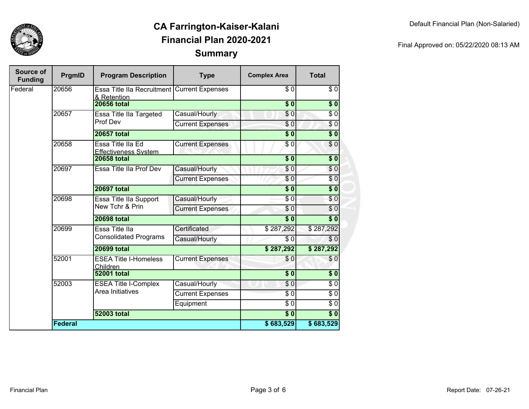

| Final Approved on: 05/22/2020 08:13 AM |  |
|----------------------------------------|--|
|                                        |  |

| Source of<br><b>Funding</b> | PrgmID         | <b>Program Description</b>                       | <b>Type</b>             | <b>Complex Area</b>    | <b>Total</b>     |
|-----------------------------|----------------|--------------------------------------------------|-------------------------|------------------------|------------------|
| Federal                     | 20656          | Essa Title IIa Recruitment<br>& Retention        | <b>Current Expenses</b> | \$0                    | \$0              |
|                             |                | <b>20656 total</b>                               |                         | $\overline{\$}0$       | \$0              |
|                             | 20657          | Essa Title IIa Targeted                          | Casual/Hourly           | $\overline{\$}0$       | $\sqrt{6}$       |
|                             |                | Prof Dev                                         | <b>Current Expenses</b> | \$0                    | $\overline{\$0}$ |
|                             |                | <b>20657 total</b>                               |                         | $\overline{\bullet}$ 0 | $\sqrt{6}$       |
|                             | 20658          | Essa Title IIa Ed<br><b>Effectiveness System</b> | <b>Current Expenses</b> | $\overline{\$0}$       | $\overline{30}$  |
|                             |                | <b>20658 total</b>                               |                         | $\overline{\$}0$       | \$0              |
|                             | 20697          | Essa Title IIa Prof Dev                          | Casual/Hourly           | \$0                    | \$0              |
|                             |                |                                                  | <b>Current Expenses</b> | $\overline{\$0}$       | \$0              |
|                             |                | <b>20697 total</b>                               |                         | $\overline{\$}0$       | $\overline{\$0}$ |
|                             | 20698          | Essa Title IIa Support<br>New Tchr & Prin        | Casual/Hourly           | $\sqrt{6}$             | \$0              |
|                             |                |                                                  | <b>Current Expenses</b> | $\sqrt{6}$             | \$0              |
|                             |                | <b>20698 total</b>                               | $\overline{\bullet}$ 0  | $\overline{\$0}$       |                  |
|                             | 20699          | Essa Title IIa<br><b>Consolidated Programs</b>   | Certificated            | \$287,292              | \$287,292        |
|                             |                |                                                  | Casual/Hourly           | $\overline{\$0}$       | $\sqrt{6}$       |
|                             |                | <b>20699 total</b>                               |                         | \$287,292              | \$287,292        |
|                             | 52001          | <b>ESEA Title I-Homeless</b><br>Children         | <b>Current Expenses</b> | \$0                    | $\sqrt{6}$       |
|                             |                | <b>52001 total</b>                               |                         | $\overline{\$0}$       | $\overline{\$0}$ |
|                             | 52003          | <b>ESEA Title I-Complex</b>                      | Casual/Hourly           | \$0                    | $\sqrt{6}$       |
|                             |                | Area Initiatives                                 | <b>Current Expenses</b> | $\sqrt{6}$             | $\sqrt{6}$       |
|                             |                |                                                  | Equipment               | $\overline{\$0}$       | $\overline{\$0}$ |
|                             |                | <b>52003 total</b>                               |                         | $\overline{\bullet}$ 0 | $\overline{\$0}$ |
|                             | <b>Federal</b> |                                                  |                         | \$683,529              | \$683,529        |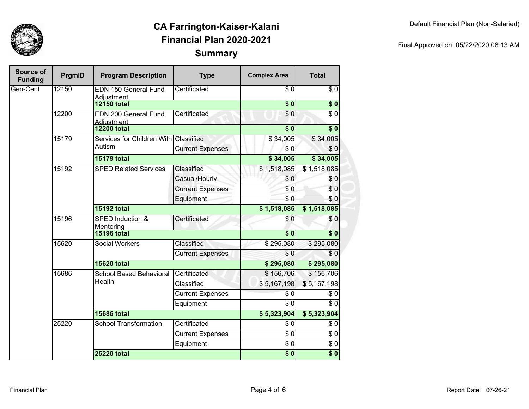

| Final Approved on: 05/22/2020 08:13 AM |  |
|----------------------------------------|--|
|                                        |  |

| Source of<br><b>Funding</b> | PrgmID | <b>Program Description</b>              | <b>Type</b>             | <b>Complex Area</b> | <b>Total</b>     |
|-----------------------------|--------|-----------------------------------------|-------------------------|---------------------|------------------|
| Gen-Cent                    | 12150  | <b>EDN 150 General Fund</b>             | Certificated            | $\overline{\$0}$    | $\sqrt{6}$       |
|                             |        | <b>Adjustment</b><br><b>12150 total</b> |                         | $\overline{\$}0$    | $\overline{\$0}$ |
|                             | 12200  | EDN 200 General Fund                    | Certificated            | \$0                 | $\overline{\$0}$ |
|                             |        | <b>Adjustment</b>                       |                         |                     |                  |
|                             |        | <b>12200 total</b>                      |                         | $\overline{\$}0$    | $\overline{\$0}$ |
|                             | 15179  | Services for Children With Classified   |                         | \$34,005            | \$34,005         |
|                             |        | Autism                                  | <b>Current Expenses</b> | $\sqrt{6}$          | \$0              |
|                             |        | <b>15179 total</b>                      |                         | \$34,005            | \$34,005         |
|                             | 15192  | <b>SPED Related Services</b>            | Classified              | \$1,518,085         | \$1,518,085      |
|                             |        |                                         | Casual/Hourly           | $\overline{\$0}$    | \$0              |
|                             |        |                                         | <b>Current Expenses</b> | $\sqrt{6}$          | \$0              |
|                             |        |                                         | Equipment               | $\overline{\$0}$    | \$0              |
|                             |        | <b>15192 total</b>                      |                         | \$1,518,085         | \$1,518,085      |
|                             | 15196  | SPED Induction &<br>Mentoring           | Certificated            | \$0                 | \$0              |
|                             |        | <b>15196 total</b>                      |                         | $\overline{\$}0$    | $\overline{\$0}$ |
|                             | 15620  | <b>Social Workers</b>                   | Classified              | \$295,080           | \$295,080        |
|                             |        |                                         | <b>Current Expenses</b> | \$0                 | \$0              |
|                             |        | <b>15620 total</b>                      |                         | \$295,080           | \$295,080        |
|                             | 15686  | <b>School Based Behavioral</b>          | Certificated            | \$156,706           | \$156,706        |
|                             |        | Health                                  | Classified              | \$5,167,198         | \$5,167,198      |
|                             |        |                                         | <b>Current Expenses</b> | $\sqrt{6}$          | $\sqrt{6}$       |
|                             |        |                                         | Equipment               | $\overline{\$0}$    | $\overline{\$0}$ |
|                             |        | <b>15686 total</b>                      |                         | \$5,323,904         | \$5,323,904      |
|                             | 25220  | <b>School Transformation</b>            | Certificated            | \$0                 | $\sqrt{6}$       |
|                             |        |                                         | <b>Current Expenses</b> | $\overline{\$0}$    | $\sqrt{6}$       |
|                             |        |                                         | Equipment               | $\overline{\$0}$    | $\sqrt{6}$       |
|                             |        | <b>25220 total</b>                      |                         | $\overline{\$0}$    | $\overline{\$0}$ |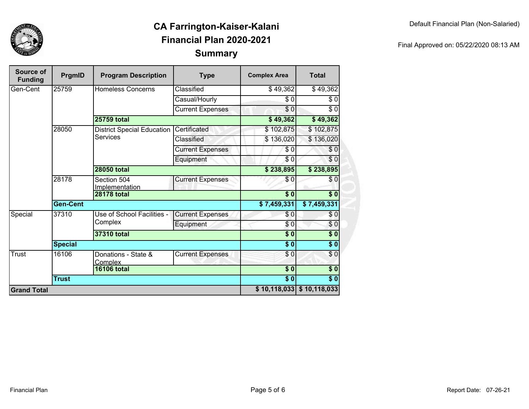

| Source of<br><b>Funding</b> | PrgmID             | <b>Program Description</b>            | <b>Type</b>               | <b>Complex Area</b>       | <b>Total</b>     |
|-----------------------------|--------------------|---------------------------------------|---------------------------|---------------------------|------------------|
| Gen-Cent                    | 25759              | <b>Homeless Concerns</b>              | Classified                | \$49,362                  | \$49,362         |
|                             |                    |                                       | Casual/Hourly             | \$0                       | \$0              |
|                             |                    |                                       | <b>Current Expenses</b>   | $\overline{\$0}$          | $\overline{\$0}$ |
|                             |                    | <b>25759 total</b>                    |                           | \$49,362                  | \$49,362         |
|                             | 28050              | <b>District Special Education</b>     | Certificated              | \$102,875                 | \$102,875        |
|                             |                    | Services                              | Classified                | \$136,020                 | \$136,020        |
|                             |                    |                                       | <b>Current Expenses</b>   | \$0                       | \$0              |
|                             |                    |                                       | Equipment                 | \$0                       | \$0              |
|                             |                    | <b>28050 total</b>                    |                           | \$238,895                 | \$238,895        |
|                             | 28178              | Section 504<br><b>Implementation</b>  | <b>Current Expenses</b>   | $\sqrt{6}$                | \$0              |
|                             |                    | <b>28178 total</b>                    | $\overline{\textbf{S}^0}$ | $\overline{\bullet}$ 0    |                  |
|                             | <b>Gen-Cent</b>    |                                       | \$7,459,331               | \$7,459,331               |                  |
| Special                     | 37310              | Use of School Facilities -<br>Complex | <b>Current Expenses</b>   | \$0                       | \$0              |
|                             |                    |                                       | Equipment                 | \$0                       | \$0              |
|                             | <b>37310 total</b> |                                       |                           | $\overline{\textbf{S}^0}$ | \$0              |
|                             | <b>Special</b>     |                                       |                           | $\overline{\$0}$          | \$0              |
| Trust                       | 16106              | Donations - State &<br><b>Complex</b> | <b>Current Expenses</b>   | \$0                       | \$0              |
|                             |                    | <b>16106 total</b>                    |                           | $\overline{\$0}$          | $\sqrt{6}$       |
|                             | <b>Trust</b>       |                                       | $\overline{\$0}$          | $\overline{\$0}$          |                  |
| <b>Grand Total</b>          |                    |                                       |                           | \$10,118,033              | \$10,118,033     |

Final Approved on: 05/22/2020 08:13 AM